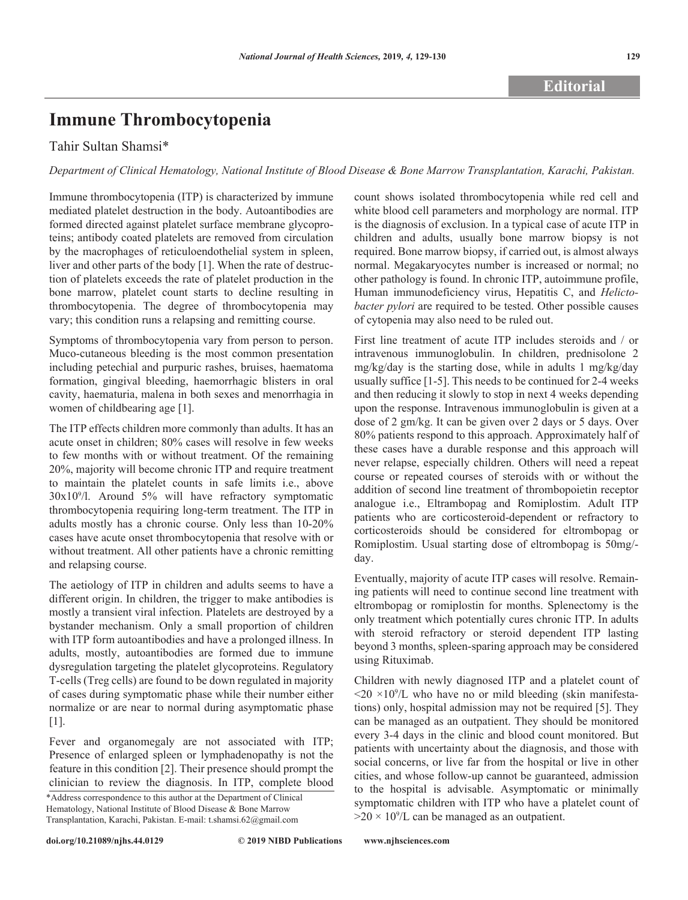# **Immune Thrombocytopenia**

## Tahir Sultan Shamsi\*

*Department of Clinical Hematology, National Institute of Blood Disease & Bone Marrow Transplantation, Karachi, Pakistan.*

Immune thrombocytopenia (ITP) is characterized by immune mediated platelet destruction in the body. Autoantibodies are formed directed against platelet surface membrane glycoproteins; antibody coated platelets are removed from circulation by the macrophages of reticuloendothelial system in spleen, liver and other parts of the body [1]. When the rate of destruction of platelets exceeds the rate of platelet production in the bone marrow, platelet count starts to decline resulting in thrombocytopenia. The degree of thrombocytopenia may vary; this condition runs a relapsing and remitting course.

Symptoms of thrombocytopenia vary from person to person. Muco-cutaneous bleeding is the most common presentation including petechial and purpuric rashes, bruises, haematoma formation, gingival bleeding, haemorrhagic blisters in oral cavity, haematuria, malena in both sexes and menorrhagia in women of childbearing age [1].

The ITP effects children more commonly than adults. It has an acute onset in children; 80% cases will resolve in few weeks to few months with or without treatment. Of the remaining 20%, majority will become chronic ITP and require treatment to maintain the platelet counts in safe limits i.e., above 30x109 /l. Around 5% will have refractory symptomatic thrombocytopenia requiring long-term treatment. The ITP in adults mostly has a chronic course. Only less than 10-20% cases have acute onset thrombocytopenia that resolve with or without treatment. All other patients have a chronic remitting and relapsing course.

The aetiology of ITP in children and adults seems to have a different origin. In children, the trigger to make antibodies is mostly a transient viral infection. Platelets are destroyed by a bystander mechanism. Only a small proportion of children with ITP form autoantibodies and have a prolonged illness. In adults, mostly, autoantibodies are formed due to immune dysregulation targeting the platelet glycoproteins. Regulatory T-cells (Treg cells) are found to be down regulated in majority of cases during symptomatic phase while their number either normalize or are near to normal during asymptomatic phase [1].

Fever and organomegaly are not associated with ITP; Presence of enlarged spleen or lymphadenopathy is not the feature in this condition [2]. Their presence should prompt the clinician to review the diagnosis. In ITP, complete blood

\*Address correspondence to this author at the Department of Clinical Hematology, National Institute of Blood Disease & Bone Marrow Transplantation, Karachi, Pakistan. E-mail: t.shamsi.62@gmail.com

**doi.org/10.21089/njhs.44.0129**

count shows isolated thrombocytopenia while red cell and white blood cell parameters and morphology are normal. ITP is the diagnosis of exclusion. In a typical case of acute ITP in children and adults, usually bone marrow biopsy is not required. Bone marrow biopsy, if carried out, is almost always normal. Megakaryocytes number is increased or normal; no other pathology is found. In chronic ITP, autoimmune profile, Human immunodeficiency virus, Hepatitis C, and *Helictobacter pylori* are required to be tested. Other possible causes of cytopenia may also need to be ruled out.

First line treatment of acute ITP includes steroids and / or intravenous immunoglobulin. In children, prednisolone 2 mg/kg/day is the starting dose, while in adults 1 mg/kg/day usually suffice [1-5]. This needs to be continued for 2-4 weeks and then reducing it slowly to stop in next 4 weeks depending upon the response. Intravenous immunoglobulin is given at a dose of 2 gm/kg. It can be given over 2 days or 5 days. Over 80% patients respond to this approach. Approximately half of these cases have a durable response and this approach will never relapse, especially children. Others will need a repeat course or repeated courses of steroids with or without the addition of second line treatment of thrombopoietin receptor analogue i.e., Eltrambopag and Romiplostim. Adult ITP patients who are corticosteroid-dependent or refractory to corticosteroids should be considered for eltrombopag or Romiplostim. Usual starting dose of eltrombopag is 50mg/ day.

Eventually, majority of acute ITP cases will resolve. Remaining patients will need to continue second line treatment with eltrombopag or romiplostin for months. Splenectomy is the only treatment which potentially cures chronic ITP. In adults with steroid refractory or steroid dependent ITP lasting beyond 3 months, spleen-sparing approach may be considered using Rituximab.

Children with newly diagnosed ITP and a platelet count of  $\langle 20 \times 10^9 \rangle$ L who have no or mild bleeding (skin manifestations) only, hospital admission may not be required [5]. They can be managed as an outpatient. They should be monitored every 3-4 days in the clinic and blood count monitored. But patients with uncertainty about the diagnosis, and those with social concerns, or live far from the hospital or live in other cities, and whose follow-up cannot be guaranteed, admission to the hospital is advisable. Asymptomatic or minimally symptomatic children with ITP who have a platelet count of  $>20 \times 10^9$ /L can be managed as an outpatient.